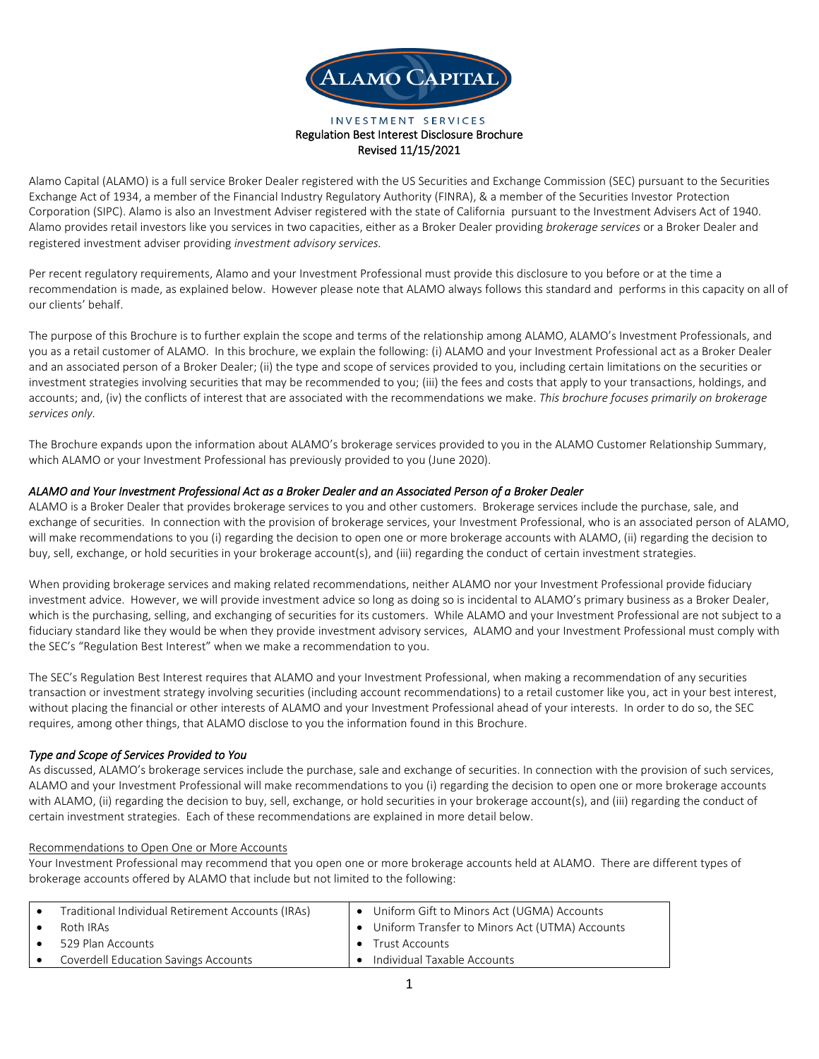

#### INVESTMENT SERVICES Regulation Best Interest Disclosure Brochure Revised 11/15/2021

Alamo Capital (ALAMO) is a full service Broker Dealer registered with the US Securities and Exchange Commission (SEC) pursuant to the Securities Exchange Act of 1934, a member of the Financial Industry Regulatory Authority (FINRA), & a member of the Securities Investor Protection Corporation (SIPC). Alamo is also an Investment Adviser registered with the state of California pursuant to the Investment Advisers Act of 1940. Alamo provides retail investors like you services in two capacities, either as a Broker Dealer providing *brokerage services* or a Broker Dealer and registered investment adviser providing *investment advisory services.*

Per recent regulatory requirements, Alamo and your Investment Professional must provide this disclosure to you before or at the time a recommendation is made, as explained below. However please note that ALAMO always follows this standard and performs in this capacity on all of our clients' behalf.

The purpose of this Brochure is to further explain the scope and terms of the relationship among ALAMO, ALAMO's Investment Professionals, and you as a retail customer of ALAMO. In this brochure, we explain the following: (i) ALAMO and your Investment Professional act as a Broker Dealer and an associated person of a Broker Dealer; (ii) the type and scope of services provided to you, including certain limitations on the securities or investment strategies involving securities that may be recommended to you; (iii) the fees and costs that apply to your transactions, holdings, and accounts; and, (iv) the conflicts of interest that are associated with the recommendations we make. *This brochure focuses primarily on brokerage services only.*

The Brochure expands upon the information about ALAMO's brokerage services provided to you in the ALAMO Customer Relationship Summary, which ALAMO or your Investment Professional has previously provided to you (June 2020).

# *ALAMO and Your Investment Professional Act as a Broker Dealer and an Associated Person of a Broker Dealer*

ALAMO is a Broker Dealer that provides brokerage services to you and other customers. Brokerage services include the purchase, sale, and exchange of securities. In connection with the provision of brokerage services, your Investment Professional, who is an associated person of ALAMO, will make recommendations to you (i) regarding the decision to open one or more brokerage accounts with ALAMO, (ii) regarding the decision to buy, sell, exchange, or hold securities in your brokerage account(s), and (iii) regarding the conduct of certain investment strategies.

When providing brokerage services and making related recommendations, neither ALAMO nor your Investment Professional provide fiduciary investment advice. However, we will provide investment advice so long as doing so is incidental to ALAMO's primary business as a Broker Dealer, which is the purchasing, selling, and exchanging of securities for its customers. While ALAMO and your Investment Professional are not subject to a fiduciary standard like they would be when they provide investment advisory services, ALAMO and your Investment Professional must comply with the SEC's "Regulation Best Interest" when we make a recommendation to you.

The SEC's Regulation Best Interest requires that ALAMO and your Investment Professional, when making a recommendation of any securities transaction or investment strategy involving securities (including account recommendations) to a retail customer like you, act in your best interest, without placing the financial or other interests of ALAMO and your Investment Professional ahead of your interests. In order to do so, the SEC requires, among other things, that ALAMO disclose to you the information found in this Brochure.

# *Type and Scope of Services Provided to You*

As discussed, ALAMO's brokerage services include the purchase, sale and exchange of securities. In connection with the provision of such services, ALAMO and your Investment Professional will make recommendations to you (i) regarding the decision to open one or more brokerage accounts with ALAMO, (ii) regarding the decision to buy, sell, exchange, or hold securities in your brokerage account(s), and (iii) regarding the conduct of certain investment strategies. Each of these recommendations are explained in more detail below.

### Recommendations to Open One or More Accounts

Your Investment Professional may recommend that you open one or more brokerage accounts held at ALAMO. There are different types of brokerage accounts offered by ALAMO that include but not limited to the following:

| Traditional Individual Retirement Accounts (IRAs) |           | • Uniform Gift to Minors Act (UGMA) Accounts     |
|---------------------------------------------------|-----------|--------------------------------------------------|
| Roth IRAs                                         |           | • Uniform Transfer to Minors Act (UTMA) Accounts |
| 529 Plan Accounts                                 | $\bullet$ | Trust Accounts                                   |
| <b>Coverdell Education Savings Accounts</b>       |           | Individual Taxable Accounts                      |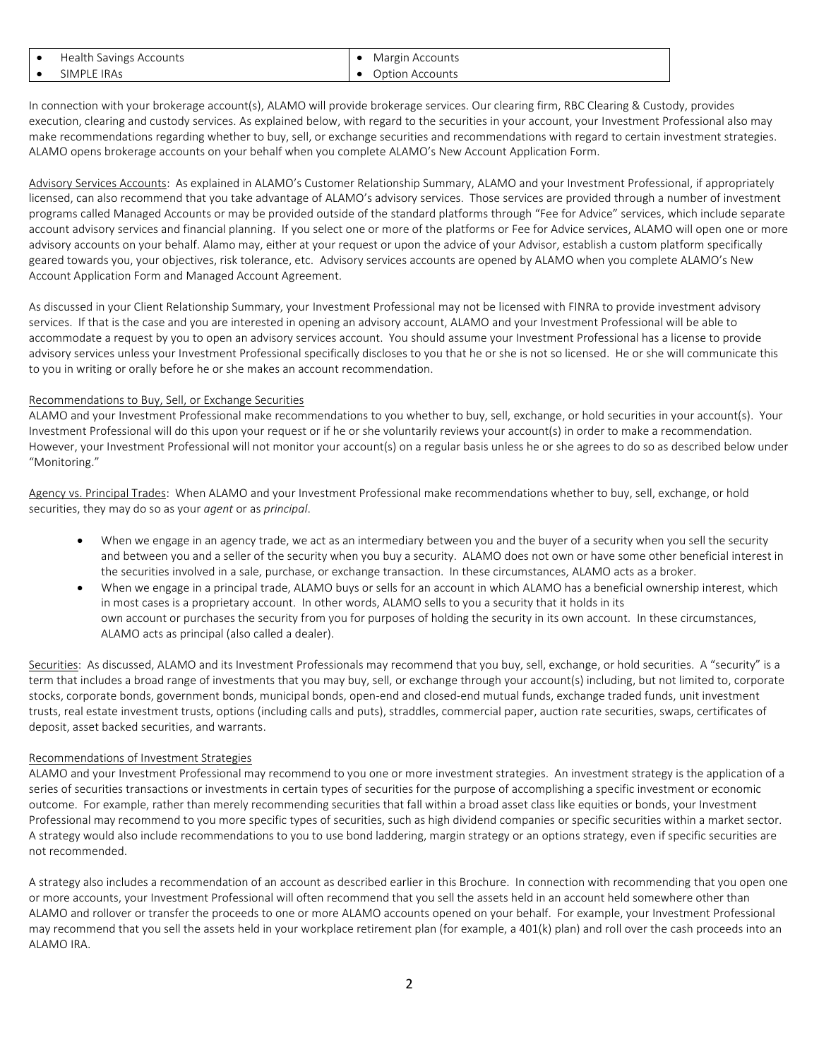| Health Savings Accounts | Margin Accounts |
|-------------------------|-----------------|
| SIMPLE IRAs             | Option Accounts |

In connection with your brokerage account(s), ALAMO will provide brokerage services. Our clearing firm, RBC Clearing & Custody, provides execution, clearing and custody services. As explained below, with regard to the securities in your account, your Investment Professional also may make recommendations regarding whether to buy, sell, or exchange securities and recommendations with regard to certain investment strategies. ALAMO opens brokerage accounts on your behalf when you complete ALAMO's New Account Application Form.

Advisory Services Accounts: As explained in ALAMO's Customer Relationship Summary, ALAMO and your Investment Professional, if appropriately licensed, can also recommend that you take advantage of ALAMO's advisory services. Those services are provided through a number of investment programs called Managed Accounts or may be provided outside of the standard platforms through "Fee for Advice" services, which include separate account advisory services and financial planning. If you select one or more of the platforms or Fee for Advice services, ALAMO will open one or more advisory accounts on your behalf. Alamo may, either at your request or upon the advice of your Advisor, establish a custom platform specifically geared towards you, your objectives, risk tolerance, etc. Advisory services accounts are opened by ALAMO when you complete ALAMO's New Account Application Form and Managed Account Agreement.

As discussed in your Client Relationship Summary, your Investment Professional may not be licensed with FINRA to provide investment advisory services. If that is the case and you are interested in opening an advisory account, ALAMO and your Investment Professional will be able to accommodate a request by you to open an advisory services account. You should assume your Investment Professional has a license to provide advisory services unless your Investment Professional specifically discloses to you that he or she is not so licensed. He or she will communicate this to you in writing or orally before he or she makes an account recommendation.

### Recommendations to Buy, Sell, or Exchange Securities

ALAMO and your Investment Professional make recommendations to you whether to buy, sell, exchange, or hold securities in your account(s). Your Investment Professional will do this upon your request or if he or she voluntarily reviews your account(s) in order to make a recommendation. However, your Investment Professional will not monitor your account(s) on a regular basis unless he or she agrees to do so as described below under "Monitoring."

Agency vs. Principal Trades: When ALAMO and your Investment Professional make recommendations whether to buy, sell, exchange, or hold securities, they may do so as your *agent* or as *principal*.

- When we engage in an agency trade, we act as an intermediary between you and the buyer of a security when you sell the security and between you and a seller of the security when you buy a security. ALAMO does not own or have some other beneficial interest in the securities involved in a sale, purchase, or exchange transaction. In these circumstances, ALAMO acts as a broker.
- When we engage in a principal trade, ALAMO buys or sells for an account in which ALAMO has a beneficial ownership interest, which in most cases is a proprietary account. In other words, ALAMO sells to you a security that it holds in its own account or purchases the security from you for purposes of holding the security in its own account. In these circumstances, ALAMO acts as principal (also called a dealer).

Securities: As discussed, ALAMO and its Investment Professionals may recommend that you buy, sell, exchange, or hold securities. A "security" is a term that includes a broad range of investments that you may buy, sell, or exchange through your account(s) including, but not limited to, corporate stocks, corporate bonds, government bonds, municipal bonds, open-end and closed-end mutual funds, exchange traded funds, unit investment trusts, real estate investment trusts, options (including calls and puts), straddles, commercial paper, auction rate securities, swaps, certificates of deposit, asset backed securities, and warrants.

### Recommendations of Investment Strategies

ALAMO and your Investment Professional may recommend to you one or more investment strategies. An investment strategy is the application of a series of securities transactions or investments in certain types of securities for the purpose of accomplishing a specific investment or economic outcome. For example, rather than merely recommending securities that fall within a broad asset class like equities or bonds, your Investment Professional may recommend to you more specific types of securities, such as high dividend companies or specific securities within a market sector. A strategy would also include recommendations to you to use bond laddering, margin strategy or an options strategy, even if specific securities are not recommended.

A strategy also includes a recommendation of an account as described earlier in this Brochure. In connection with recommending that you open one or more accounts, your Investment Professional will often recommend that you sell the assets held in an account held somewhere other than ALAMO and rollover or transfer the proceeds to one or more ALAMO accounts opened on your behalf. For example, your Investment Professional may recommend that you sell the assets held in your workplace retirement plan (for example, a 401(k) plan) and roll over the cash proceeds into an ALAMO IRA.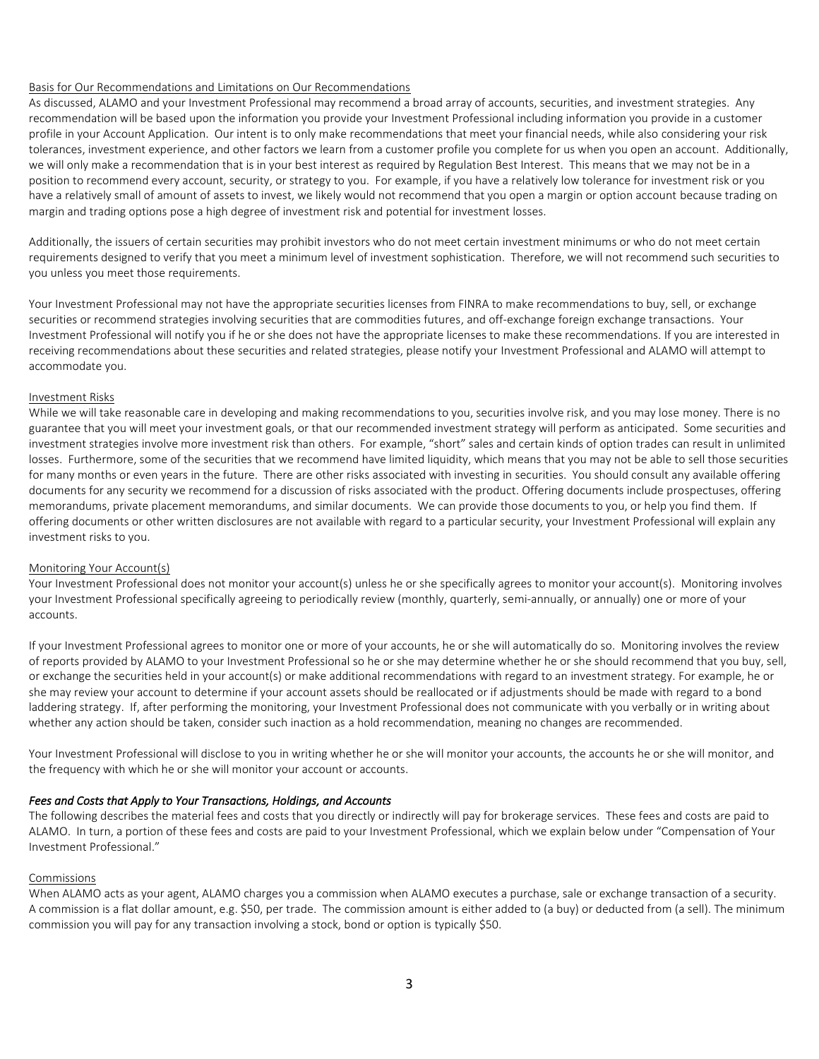### Basis for Our Recommendations and Limitations on Our Recommendations

As discussed, ALAMO and your Investment Professional may recommend a broad array of accounts, securities, and investment strategies. Any recommendation will be based upon the information you provide your Investment Professional including information you provide in a customer profile in your Account Application. Our intent is to only make recommendations that meet your financial needs, while also considering your risk tolerances, investment experience, and other factors we learn from a customer profile you complete for us when you open an account. Additionally, we will only make a recommendation that is in your best interest as required by Regulation Best Interest. This means that we may not be in a position to recommend every account, security, or strategy to you. For example, if you have a relatively low tolerance for investment risk or you have a relatively small of amount of assets to invest, we likely would not recommend that you open a margin or option account because trading on margin and trading options pose a high degree of investment risk and potential for investment losses.

Additionally, the issuers of certain securities may prohibit investors who do not meet certain investment minimums or who do not meet certain requirements designed to verify that you meet a minimum level of investment sophistication. Therefore, we will not recommend such securities to you unless you meet those requirements.

Your Investment Professional may not have the appropriate securities licenses from FINRA to make recommendations to buy, sell, or exchange securities or recommend strategies involving securities that are commodities futures, and off-exchange foreign exchange transactions. Your Investment Professional will notify you if he or she does not have the appropriate licenses to make these recommendations. If you are interested in receiving recommendations about these securities and related strategies, please notify your Investment Professional and ALAMO will attempt to accommodate you.

### Investment Risks

While we will take reasonable care in developing and making recommendations to you, securities involve risk, and you may lose money. There is no guarantee that you will meet your investment goals, or that our recommended investment strategy will perform as anticipated. Some securities and investment strategies involve more investment risk than others. For example, "short" sales and certain kinds of option trades can result in unlimited losses. Furthermore, some of the securities that we recommend have limited liquidity, which means that you may not be able to sell those securities for many months or even years in the future. There are other risks associated with investing in securities. You should consult any available offering documents for any security we recommend for a discussion of risks associated with the product. Offering documents include prospectuses, offering memorandums, private placement memorandums, and similar documents. We can provide those documents to you, or help you find them. If offering documents or other written disclosures are not available with regard to a particular security, your Investment Professional will explain any investment risks to you.

### Monitoring Your Account(s)

Your Investment Professional does not monitor your account(s) unless he or she specifically agrees to monitor your account(s). Monitoring involves your Investment Professional specifically agreeing to periodically review (monthly, quarterly, semi-annually, or annually) one or more of your accounts.

If your Investment Professional agrees to monitor one or more of your accounts, he or she will automatically do so. Monitoring involves the review of reports provided by ALAMO to your Investment Professional so he or she may determine whether he or she should recommend that you buy, sell, or exchange the securities held in your account(s) or make additional recommendations with regard to an investment strategy. For example, he or she may review your account to determine if your account assets should be reallocated or if adjustments should be made with regard to a bond laddering strategy. If, after performing the monitoring, your Investment Professional does not communicate with you verbally or in writing about whether any action should be taken, consider such inaction as a hold recommendation, meaning no changes are recommended.

Your Investment Professional will disclose to you in writing whether he or she will monitor your accounts, the accounts he or she will monitor, and the frequency with which he or she will monitor your account or accounts.

### *Fees and Costs that Apply to Your Transactions, Holdings, and Accounts*

The following describes the material fees and costs that you directly or indirectly will pay for brokerage services. These fees and costs are paid to ALAMO. In turn, a portion of these fees and costs are paid to your Investment Professional, which we explain below under "Compensation of Your Investment Professional."

### Commissions

When ALAMO acts as your agent, ALAMO charges you a commission when ALAMO executes a purchase, sale or exchange transaction of a security. A commission is a flat dollar amount, e.g. \$50, per trade. The commission amount is either added to (a buy) or deducted from (a sell). The minimum commission you will pay for any transaction involving a stock, bond or option is typically \$50.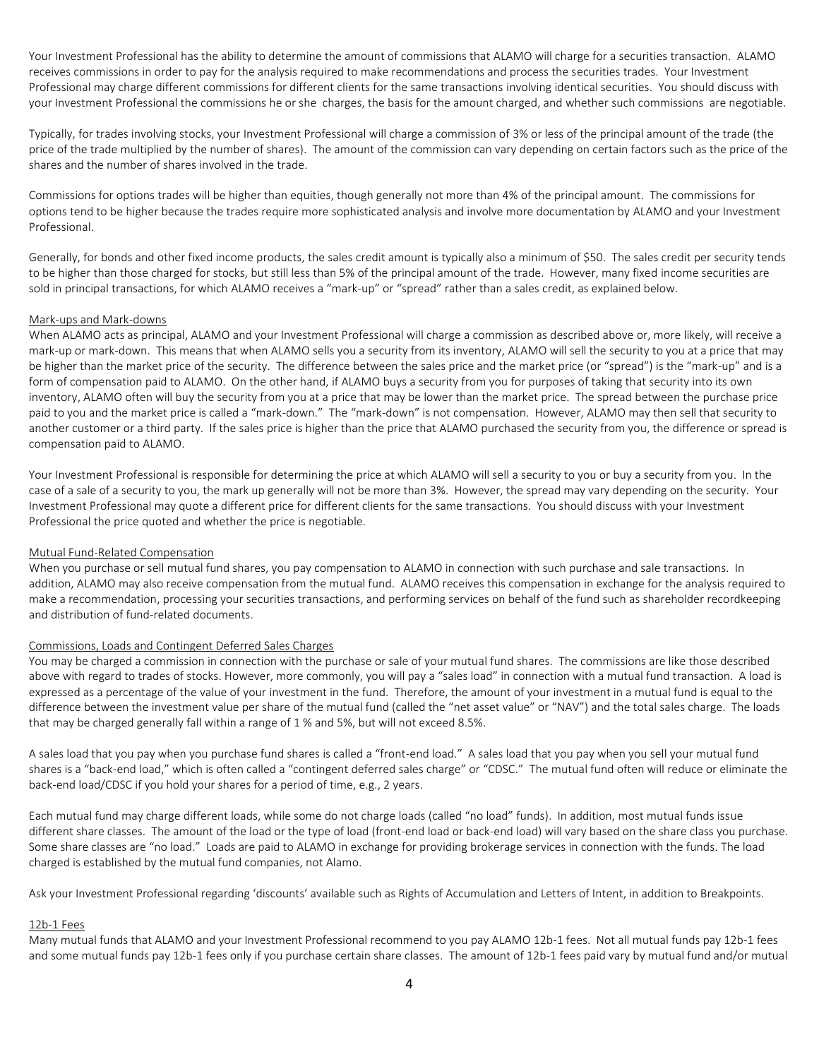Your Investment Professional has the ability to determine the amount of commissions that ALAMO will charge for a securities transaction. ALAMO receives commissions in order to pay for the analysis required to make recommendations and process the securities trades. Your Investment Professional may charge different commissions for different clients for the same transactions involving identical securities. You should discuss with your Investment Professional the commissions he or she charges, the basis for the amount charged, and whether such commissions are negotiable.

Typically, for trades involving stocks, your Investment Professional will charge a commission of 3% or less of the principal amount of the trade (the price of the trade multiplied by the number of shares). The amount of the commission can vary depending on certain factors such as the price of the shares and the number of shares involved in the trade.

Commissions for options trades will be higher than equities, though generally not more than 4% of the principal amount. The commissions for options tend to be higher because the trades require more sophisticated analysis and involve more documentation by ALAMO and your Investment Professional.

Generally, for bonds and other fixed income products, the sales credit amount is typically also a minimum of \$50. The sales credit per security tends to be higher than those charged for stocks, but still less than 5% of the principal amount of the trade. However, many fixed income securities are sold in principal transactions, for which ALAMO receives a "mark-up" or "spread" rather than a sales credit, as explained below.

#### Mark-ups and Mark-downs

When ALAMO acts as principal, ALAMO and your Investment Professional will charge a commission as described above or, more likely, will receive a mark-up or mark-down. This means that when ALAMO sells you a security from its inventory, ALAMO will sell the security to you at a price that may be higher than the market price of the security. The difference between the sales price and the market price (or "spread") is the "mark-up" and is a form of compensation paid to ALAMO. On the other hand, if ALAMO buys a security from you for purposes of taking that security into its own inventory, ALAMO often will buy the security from you at a price that may be lower than the market price. The spread between the purchase price paid to you and the market price is called a "mark-down." The "mark-down" is not compensation. However, ALAMO may then sell that security to another customer or a third party. If the sales price is higher than the price that ALAMO purchased the security from you, the difference or spread is compensation paid to ALAMO.

Your Investment Professional is responsible for determining the price at which ALAMO will sell a security to you or buy a security from you. In the case of a sale of a security to you, the mark up generally will not be more than 3%. However, the spread may vary depending on the security. Your Investment Professional may quote a different price for different clients for the same transactions. You should discuss with your Investment Professional the price quoted and whether the price is negotiable.

### Mutual Fund-Related Compensation

When you purchase or sell mutual fund shares, you pay compensation to ALAMO in connection with such purchase and sale transactions. In addition, ALAMO may also receive compensation from the mutual fund. ALAMO receives this compensation in exchange for the analysis required to make a recommendation, processing your securities transactions, and performing services on behalf of the fund such as shareholder recordkeeping and distribution of fund-related documents.

### Commissions, Loads and Contingent Deferred Sales Charges

You may be charged a commission in connection with the purchase or sale of your mutual fund shares. The commissions are like those described above with regard to trades of stocks. However, more commonly, you will pay a "sales load" in connection with a mutual fund transaction. A load is expressed as a percentage of the value of your investment in the fund. Therefore, the amount of your investment in a mutual fund is equal to the difference between the investment value per share of the mutual fund (called the "net asset value" or "NAV") and the total sales charge. The loads that may be charged generally fall within a range of 1 % and 5%, but will not exceed 8.5%.

A sales load that you pay when you purchase fund shares is called a "front-end load." A sales load that you pay when you sell your mutual fund shares is a "back-end load," which is often called a "contingent deferred sales charge" or "CDSC." The mutual fund often will reduce or eliminate the back-end load/CDSC if you hold your shares for a period of time, e.g., 2 years.

Each mutual fund may charge different loads, while some do not charge loads (called "no load" funds). In addition, most mutual funds issue different share classes. The amount of the load or the type of load (front-end load or back-end load) will vary based on the share class you purchase. Some share classes are "no load." Loads are paid to ALAMO in exchange for providing brokerage services in connection with the funds. The load charged is established by the mutual fund companies, not Alamo.

Ask your Investment Professional regarding 'discounts' available such as Rights of Accumulation and Letters of Intent, in addition to Breakpoints.

#### 12b-1 Fees

Many mutual funds that ALAMO and your Investment Professional recommend to you pay ALAMO 12b-1 fees. Not all mutual funds pay 12b-1 fees and some mutual funds pay 12b-1 fees only if you purchase certain share classes. The amount of 12b-1 fees paid vary by mutual fund and/or mutual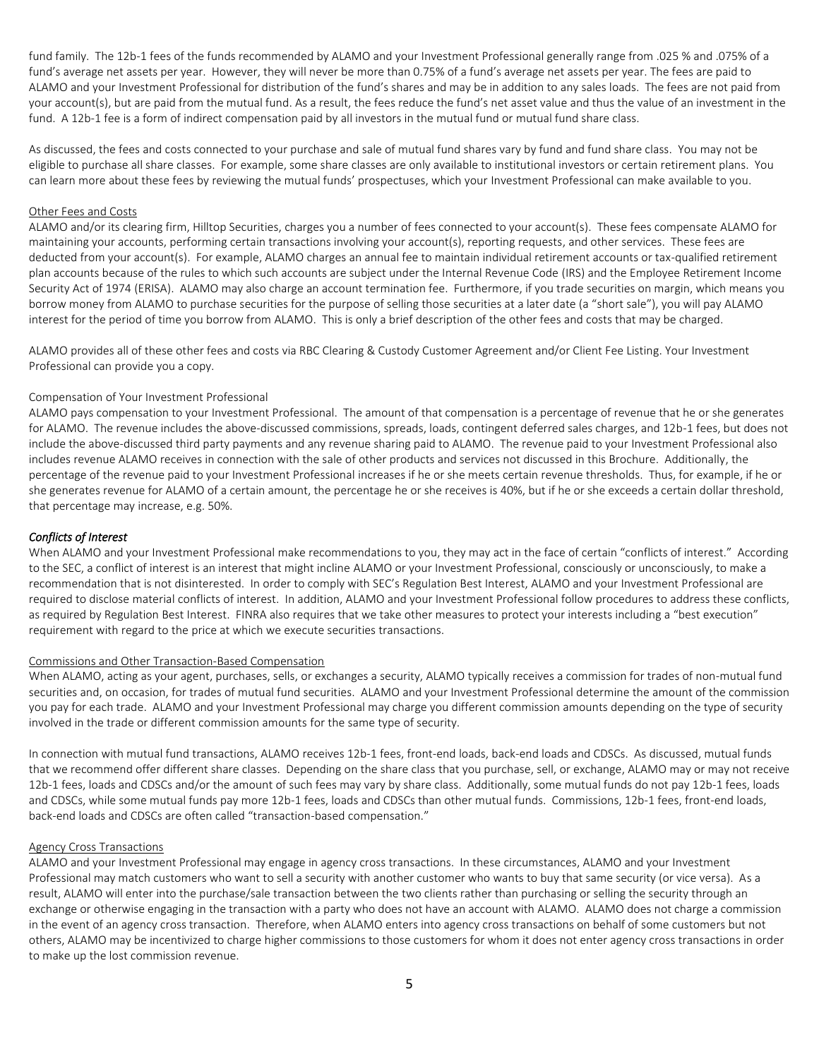fund family. The 12b-1 fees of the funds recommended by ALAMO and your Investment Professional generally range from .025 % and .075% of a fund's average net assets per year. However, they will never be more than 0.75% of a fund's average net assets per year. The fees are paid to ALAMO and your Investment Professional for distribution of the fund's shares and may be in addition to any sales loads. The fees are not paid from your account(s), but are paid from the mutual fund. As a result, the fees reduce the fund's net asset value and thus the value of an investment in the fund. A 12b-1 fee is a form of indirect compensation paid by all investors in the mutual fund or mutual fund share class.

As discussed, the fees and costs connected to your purchase and sale of mutual fund shares vary by fund and fund share class. You may not be eligible to purchase all share classes. For example, some share classes are only available to institutional investors or certain retirement plans. You can learn more about these fees by reviewing the mutual funds' prospectuses, which your Investment Professional can make available to you.

### Other Fees and Costs

ALAMO and/or its clearing firm, Hilltop Securities, charges you a number of fees connected to your account(s). These fees compensate ALAMO for maintaining your accounts, performing certain transactions involving your account(s), reporting requests, and other services. These fees are deducted from your account(s). For example, ALAMO charges an annual fee to maintain individual retirement accounts or tax-qualified retirement plan accounts because of the rules to which such accounts are subject under the Internal Revenue Code (IRS) and the Employee Retirement Income Security Act of 1974 (ERISA). ALAMO may also charge an account termination fee. Furthermore, if you trade securities on margin, which means you borrow money from ALAMO to purchase securities for the purpose of selling those securities at a later date (a "short sale"), you will pay ALAMO interest for the period of time you borrow from ALAMO. This is only a brief description of the other fees and costs that may be charged.

ALAMO provides all of these other fees and costs via RBC Clearing & Custody Customer Agreement and/or Client Fee Listing. Your Investment Professional can provide you a copy.

## Compensation of Your Investment Professional

ALAMO pays compensation to your Investment Professional. The amount of that compensation is a percentage of revenue that he or she generates for ALAMO. The revenue includes the above-discussed commissions, spreads, loads, contingent deferred sales charges, and 12b-1 fees, but does not include the above-discussed third party payments and any revenue sharing paid to ALAMO. The revenue paid to your Investment Professional also includes revenue ALAMO receives in connection with the sale of other products and services not discussed in this Brochure. Additionally, the percentage of the revenue paid to your Investment Professional increases if he or she meets certain revenue thresholds. Thus, for example, if he or she generates revenue for ALAMO of a certain amount, the percentage he or she receives is 40%, but if he or she exceeds a certain dollar threshold, that percentage may increase, e.g. 50%.

## *Conflicts of Interest*

When ALAMO and your Investment Professional make recommendations to you, they may act in the face of certain "conflicts of interest." According to the SEC, a conflict of interest is an interest that might incline ALAMO or your Investment Professional, consciously or unconsciously, to make a recommendation that is not disinterested. In order to comply with SEC's Regulation Best Interest, ALAMO and your Investment Professional are required to disclose material conflicts of interest. In addition, ALAMO and your Investment Professional follow procedures to address these conflicts, as required by Regulation Best Interest. FINRA also requires that we take other measures to protect your interests including a "best execution" requirement with regard to the price at which we execute securities transactions.

### Commissions and Other Transaction-Based Compensation

When ALAMO, acting as your agent, purchases, sells, or exchanges a security, ALAMO typically receives a commission for trades of non-mutual fund securities and, on occasion, for trades of mutual fund securities. ALAMO and your Investment Professional determine the amount of the commission you pay for each trade. ALAMO and your Investment Professional may charge you different commission amounts depending on the type of security involved in the trade or different commission amounts for the same type of security.

In connection with mutual fund transactions, ALAMO receives 12b-1 fees, front-end loads, back-end loads and CDSCs. As discussed, mutual funds that we recommend offer different share classes. Depending on the share class that you purchase, sell, or exchange, ALAMO may or may not receive 12b-1 fees, loads and CDSCs and/or the amount of such fees may vary by share class. Additionally, some mutual funds do not pay 12b-1 fees, loads and CDSCs, while some mutual funds pay more 12b-1 fees, loads and CDSCs than other mutual funds. Commissions, 12b-1 fees, front-end loads, back-end loads and CDSCs are often called "transaction-based compensation."

#### Agency Cross Transactions

ALAMO and your Investment Professional may engage in agency cross transactions. In these circumstances, ALAMO and your Investment Professional may match customers who want to sell a security with another customer who wants to buy that same security (or vice versa). As a result, ALAMO will enter into the purchase/sale transaction between the two clients rather than purchasing or selling the security through an exchange or otherwise engaging in the transaction with a party who does not have an account with ALAMO. ALAMO does not charge a commission in the event of an agency cross transaction. Therefore, when ALAMO enters into agency cross transactions on behalf of some customers but not others, ALAMO may be incentivized to charge higher commissions to those customers for whom it does not enter agency cross transactions in order to make up the lost commission revenue.